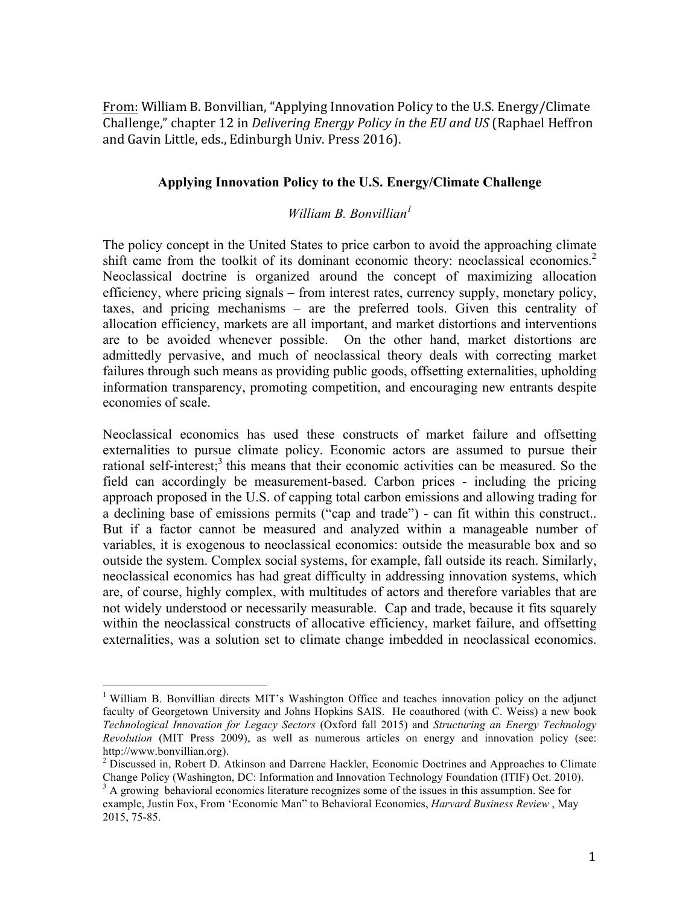From: William B. Bonvillian, "Applying Innovation Policy to the U.S. Energy/Climate Challenge," chapter 12 in *Delivering Energy Policy in the EU and US* (Raphael Heffron and Gavin Little, eds., Edinburgh Univ. Press 2016).

## **Applying Innovation Policy to the U.S. Energy/Climate Challenge**

## *William B. Bonvillian<sup>1</sup>*

The policy concept in the United States to price carbon to avoid the approaching climate shift came from the toolkit of its dominant economic theory: neoclassical economics.<sup>2</sup> Neoclassical doctrine is organized around the concept of maximizing allocation efficiency, where pricing signals – from interest rates, currency supply, monetary policy, taxes, and pricing mechanisms – are the preferred tools. Given this centrality of allocation efficiency, markets are all important, and market distortions and interventions are to be avoided whenever possible. On the other hand, market distortions are admittedly pervasive, and much of neoclassical theory deals with correcting market failures through such means as providing public goods, offsetting externalities, upholding information transparency, promoting competition, and encouraging new entrants despite economies of scale.

Neoclassical economics has used these constructs of market failure and offsetting externalities to pursue climate policy. Economic actors are assumed to pursue their rational self-interest;<sup>3</sup> this means that their economic activities can be measured. So the field can accordingly be measurement-based. Carbon prices - including the pricing approach proposed in the U.S. of capping total carbon emissions and allowing trading for a declining base of emissions permits ("cap and trade") - can fit within this construct.. But if a factor cannot be measured and analyzed within a manageable number of variables, it is exogenous to neoclassical economics: outside the measurable box and so outside the system. Complex social systems, for example, fall outside its reach. Similarly, neoclassical economics has had great difficulty in addressing innovation systems, which are, of course, highly complex, with multitudes of actors and therefore variables that are not widely understood or necessarily measurable. Cap and trade, because it fits squarely within the neoclassical constructs of allocative efficiency, market failure, and offsetting externalities, was a solution set to climate change imbedded in neoclassical economics.

<sup>&</sup>lt;sup>1</sup> William B. Bonvillian directs MIT's Washington Office and teaches innovation policy on the adjunct faculty of Georgetown University and Johns Hopkins SAIS. He coauthored (with C. Weiss) a new book *Technological Innovation for Legacy Sectors* (Oxford fall 2015) and *Structuring an Energy Technology Revolution* (MIT Press 2009), as well as numerous articles on energy and innovation policy (see: http://www.bonvillian.org).<br><sup>2</sup> Discussed in, Robert D. Atkinson and Darrene Hackler, Economic Doctrines and Approaches to Climate

Change Policy (Washington, DC: Information and Innovation Technology Foundation (ITIF) Oct. 2010).

<sup>&</sup>lt;sup>3</sup> A growing behavioral economics literature recognizes some of the issues in this assumption. See for example, Justin Fox, From 'Economic Man" to Behavioral Economics, *Harvard Business Review* , May 2015, 75-85.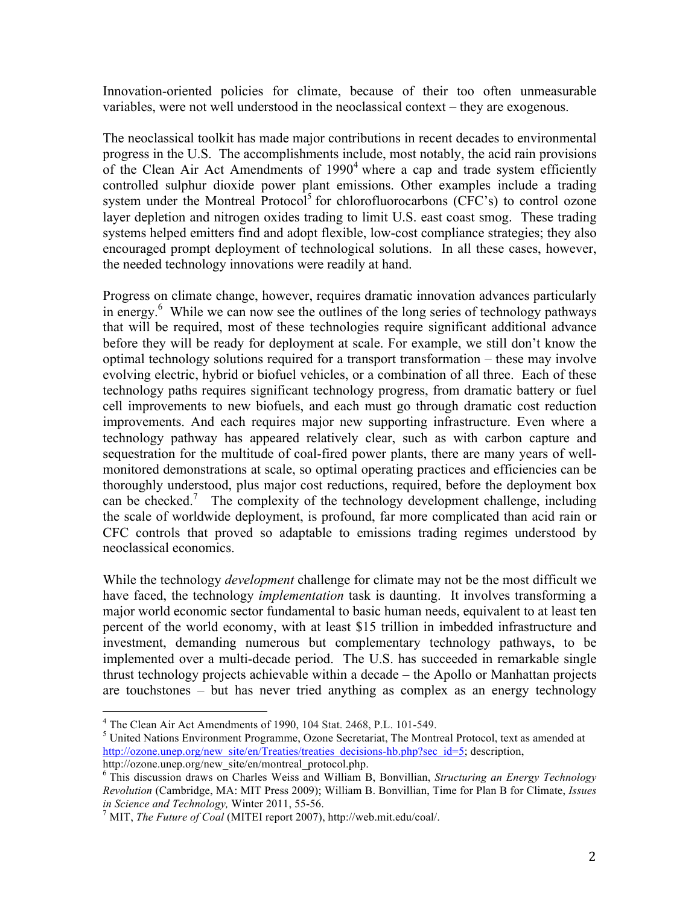Innovation-oriented policies for climate, because of their too often unmeasurable variables, were not well understood in the neoclassical context – they are exogenous.

The neoclassical toolkit has made major contributions in recent decades to environmental progress in the U.S. The accomplishments include, most notably, the acid rain provisions of the Clean Air Act Amendments of  $1990<sup>4</sup>$  where a cap and trade system efficiently controlled sulphur dioxide power plant emissions. Other examples include a trading system under the Montreal Protocol<sup>5</sup> for chlorofluorocarbons (CFC's) to control ozone layer depletion and nitrogen oxides trading to limit U.S. east coast smog. These trading systems helped emitters find and adopt flexible, low-cost compliance strategies; they also encouraged prompt deployment of technological solutions. In all these cases, however, the needed technology innovations were readily at hand.

Progress on climate change, however, requires dramatic innovation advances particularly in energy.<sup>6</sup> While we can now see the outlines of the long series of technology pathways that will be required, most of these technologies require significant additional advance before they will be ready for deployment at scale. For example, we still don't know the optimal technology solutions required for a transport transformation – these may involve evolving electric, hybrid or biofuel vehicles, or a combination of all three. Each of these technology paths requires significant technology progress, from dramatic battery or fuel cell improvements to new biofuels, and each must go through dramatic cost reduction improvements. And each requires major new supporting infrastructure. Even where a technology pathway has appeared relatively clear, such as with carbon capture and sequestration for the multitude of coal-fired power plants, there are many years of wellmonitored demonstrations at scale, so optimal operating practices and efficiencies can be thoroughly understood, plus major cost reductions, required, before the deployment box can be checked.<sup>7</sup> The complexity of the technology development challenge, including the scale of worldwide deployment, is profound, far more complicated than acid rain or CFC controls that proved so adaptable to emissions trading regimes understood by neoclassical economics.

While the technology *development* challenge for climate may not be the most difficult we have faced, the technology *implementation* task is daunting. It involves transforming a major world economic sector fundamental to basic human needs, equivalent to at least ten percent of the world economy, with at least \$15 trillion in imbedded infrastructure and investment, demanding numerous but complementary technology pathways, to be implemented over a multi-decade period. The U.S. has succeeded in remarkable single thrust technology projects achievable within a decade – the Apollo or Manhattan projects are touchstones – but has never tried anything as complex as an energy technology

 $^{4}$  The Clean Air Act Amendments of 1990, 104 Stat. 2468, P.L. 101-549.<br><sup>5</sup> United Nations Environment Programme, Ozone Secretariat, The Montreal Protocol, text as amended at http://ozone.unep.org/new\_site/en/Treaties/treaties\_decisions-hb.php?sec\_id=5; description, http://ozone.unep.org/new\_site/en/montreal\_protocol.php.

<sup>6</sup> This discussion draws on Charles Weiss and William B, Bonvillian, *Structuring an Energy Technology Revolution* (Cambridge, MA: MIT Press 2009); William B. Bonvillian, Time for Plan B for Climate, *Issues in Science and Technology,* Winter 2011, 55-56. 7 MIT, *The Future of Coal* (MITEI report 2007), http://web.mit.edu/coal/.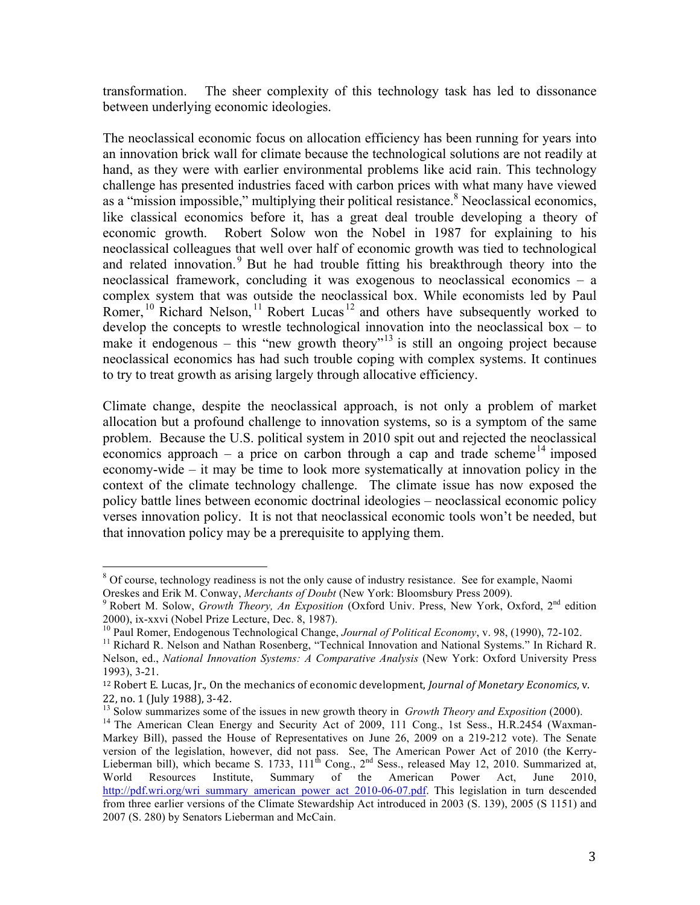transformation. The sheer complexity of this technology task has led to dissonance between underlying economic ideologies.

The neoclassical economic focus on allocation efficiency has been running for years into an innovation brick wall for climate because the technological solutions are not readily at hand, as they were with earlier environmental problems like acid rain. This technology challenge has presented industries faced with carbon prices with what many have viewed as a "mission impossible," multiplying their political resistance.<sup>8</sup> Neoclassical economics, like classical economics before it, has a great deal trouble developing a theory of economic growth. Robert Solow won the Nobel in 1987 for explaining to his neoclassical colleagues that well over half of economic growth was tied to technological and related innovation.<sup>9</sup> But he had trouble fitting his breakthrough theory into the neoclassical framework, concluding it was exogenous to neoclassical economics – a complex system that was outside the neoclassical box. While economists led by Paul Romer,  $10$  Richard Nelson,  $11$  Robert Lucas  $12$  and others have subsequently worked to develop the concepts to wrestle technological innovation into the neoclassical box – to make it endogenous – this "new growth theory"<sup>13</sup> is still an ongoing project because neoclassical economics has had such trouble coping with complex systems. It continues to try to treat growth as arising largely through allocative efficiency.

Climate change, despite the neoclassical approach, is not only a problem of market allocation but a profound challenge to innovation systems, so is a symptom of the same problem. Because the U.S. political system in 2010 spit out and rejected the neoclassical economics approach – a price on carbon through a cap and trade scheme<sup>14</sup> imposed economy-wide – it may be time to look more systematically at innovation policy in the context of the climate technology challenge. The climate issue has now exposed the policy battle lines between economic doctrinal ideologies – neoclassical economic policy verses innovation policy. It is not that neoclassical economic tools won't be needed, but that innovation policy may be a prerequisite to applying them.

<sup>&</sup>lt;sup>8</sup> Of course, technology readiness is not the only cause of industry resistance. See for example, Naomi Oreskes and Erik M. Conway, *Merchants of Doubt* (New York: Bloomsbury Press 2009).<br><sup>9</sup> Robert M. Solow, *Growth Theory, An Exposition* (Oxford Univ. Press, New York, Oxford, 2<sup>nd</sup> edition

<sup>2000),</sup> ix-xxvi (Nobel Prize Lecture, Dec. 8, 1987).<br><sup>10</sup> Paul Romer, Endogenous Technological Change, *Journal of Political Economy*, v. 98, (1990), 72-102.<br><sup>11</sup> Richard R. Nelson and Nathan Rosenberg, "Technical Innovatio Nelson, ed., *National Innovation Systems: A Comparative Analysis* (New York: Oxford University Press 1993), 3-21.

<sup>&</sup>lt;sup>12</sup> Robert E. Lucas, Jr., On the mechanics of economic development, *Journal of Monetary Economics*, v.

<sup>22,</sup> no. 1 (July 1988), 3-42.<br><sup>13</sup> Solow summarizes some of the issues in new growth theory in *Growth Theory and Exposition* (2000).<br><sup>14</sup> The American Clean Energy and Security Act of 2009, 111 Cong., 1st Sess., H.R.2454 Markey Bill), passed the House of Representatives on June 26, 2009 on a 219-212 vote). The Senate version of the legislation, however, did not pass. See, The American Power Act of 2010 (the Kerry-Lieberman bill), which became S. 1733,  $111^{th}$  Cong.,  $2^{nd}$  Sess., released May 12, 2010. Summarized at, World Resources Institute, Summary of the American Power Act, June 2010, http://pdf.wri.org/wri\_summary\_american\_power\_act\_2010-06-07.pdf. This legislation in turn descended from three earlier versions of the Climate Stewardship Act introduced in 2003 (S. 139), 2005 (S 1151) and 2007 (S. 280) by Senators Lieberman and McCain.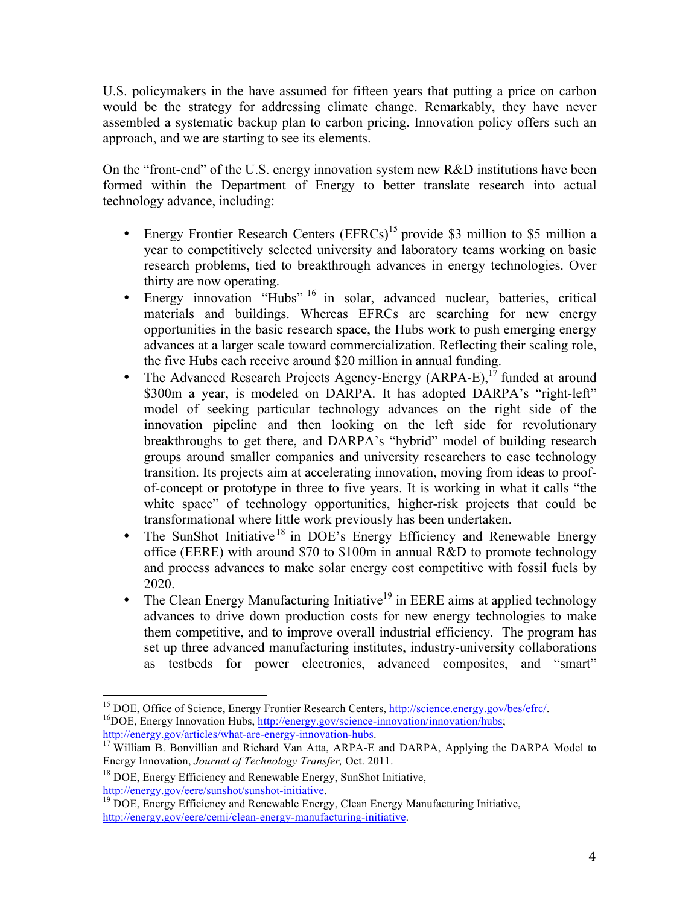U.S. policymakers in the have assumed for fifteen years that putting a price on carbon would be the strategy for addressing climate change. Remarkably, they have never assembled a systematic backup plan to carbon pricing. Innovation policy offers such an approach, and we are starting to see its elements.

On the "front-end" of the U.S. energy innovation system new R&D institutions have been formed within the Department of Energy to better translate research into actual technology advance, including:

- Energy Frontier Research Centers  $(EFRCs)^{15}$  provide \$3 million to \$5 million a year to competitively selected university and laboratory teams working on basic research problems, tied to breakthrough advances in energy technologies. Over thirty are now operating.
- Energy innovation "Hubs"  $^{16}$  in solar, advanced nuclear, batteries, critical materials and buildings. Whereas EFRCs are searching for new energy opportunities in the basic research space, the Hubs work to push emerging energy advances at a larger scale toward commercialization. Reflecting their scaling role, the five Hubs each receive around \$20 million in annual funding.
- The Advanced Research Projects Agency-Energy  $(ARPA-E)$ ,<sup>17</sup> funded at around \$300m a year, is modeled on DARPA. It has adopted DARPA's "right-left" model of seeking particular technology advances on the right side of the innovation pipeline and then looking on the left side for revolutionary breakthroughs to get there, and DARPA's "hybrid" model of building research groups around smaller companies and university researchers to ease technology transition. Its projects aim at accelerating innovation, moving from ideas to proofof-concept or prototype in three to five years. It is working in what it calls "the white space" of technology opportunities, higher-risk projects that could be transformational where little work previously has been undertaken.
- The SunShot Initiative<sup>18</sup> in DOE's Energy Efficiency and Renewable Energy office (EERE) with around \$70 to \$100m in annual R&D to promote technology and process advances to make solar energy cost competitive with fossil fuels by 2020.
- The Clean Energy Manufacturing Initiative<sup>19</sup> in EERE aims at applied technology advances to drive down production costs for new energy technologies to make them competitive, and to improve overall industrial efficiency. The program has set up three advanced manufacturing institutes, industry-university collaborations as testbeds for power electronics, advanced composites, and "smart"

<sup>&</sup>lt;sup>15</sup> DOE, Office of Science, Energy Frontier Research Centers,  $\frac{http://science.energy.gov/bes/efrc/}{http://circ.energy.gov/science.inovation/innovation/hibs};$ 

http://energy.gov/articles/what-are-energy-innovation-hubs.<br><sup>17</sup> William B. Bonvillian and Richard Van Atta, ARPA-E and DARPA, Applying the DARPA Model to Energy Innovation, *Journal of Technology Transfer,* Oct. 2011.

<sup>&</sup>lt;sup>18</sup> DOE, Energy Efficiency and Renewable Energy, SunShot Initiative,

http://energy.gov/eere/sunshot/sunshot-initiative.<br><sup>19</sup> DOE, Energy Efficiency and Renewable Energy, Clean Energy Manufacturing Initiative, http://energy.gov/eere/cemi/clean-energy-manufacturing-initiative.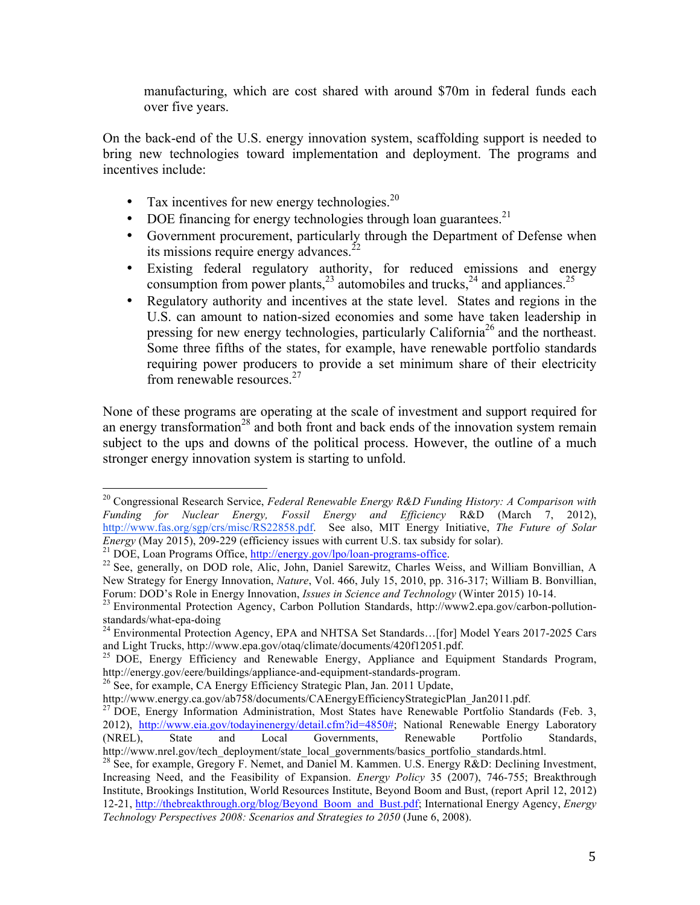manufacturing, which are cost shared with around \$70m in federal funds each over five years.

On the back-end of the U.S. energy innovation system, scaffolding support is needed to bring new technologies toward implementation and deployment. The programs and incentives include:

- Tax incentives for new energy technologies. $^{20}$
- DOE financing for energy technologies through loan guarantees.<sup>21</sup>
- Government procurement, particularly through the Department of Defense when its missions require energy advances. $^{22}$
- Existing federal regulatory authority, for reduced emissions and energy consumption from power plants,  $^{23}$  automobiles and trucks,  $^{24}$  and appliances.  $^{25}$
- Regulatory authority and incentives at the state level. States and regions in the U.S. can amount to nation-sized economies and some have taken leadership in pressing for new energy technologies, particularly California<sup>26</sup> and the northeast. Some three fifths of the states, for example, have renewable portfolio standards requiring power producers to provide a set minimum share of their electricity from renewable resources.<sup>27</sup>

None of these programs are operating at the scale of investment and support required for an energy transformation<sup>28</sup> and both front and back ends of the innovation system remain subject to the ups and downs of the political process. However, the outline of a much stronger energy innovation system is starting to unfold.

 <sup>20</sup> Congressional Research Service, *Federal Renewable Energy R&D Funding History: A Comparison with Funding for Nuclear Energy, Fossil Energy and Efficiency* R&D (March 7, 2012), http://www.fas.org/sgp/crs/misc/RS22858.pdf. See also, MIT Energy Initiative, *The Future of Solar Energy* (May 2015), 209-229 (efficiency issues with current U.S. tax subsidy for solar).<br><sup>21</sup> DOE, Loan Programs Office, <u>http://energy.gov/lpo/loan-programs-office</u>.<br><sup>22</sup> See, generally, on DOD role, Alic, John, Daniel S

New Strategy for Energy Innovation, *Nature*, Vol. 466, July 15, 2010, pp. 316-317; William B. Bonvillian,

Forum: DOD's Role in Energy Innovation, *Issues in Science and Technology* (Winter 2015) 10-14. <sup>23</sup> Environmental Protection Agency, Carbon Pollution Standards, http://www2.epa.gov/carbon-pollution-

<sup>&</sup>lt;sup>24</sup> Environmental Protection Agency, EPA and NHTSA Set Standards…[for] Model Years 2017-2025 Cars and Light Trucks, http://www.epa.gov/otaq/climate/documents/420f12051.pdf.

<sup>&</sup>lt;sup>25</sup> DOE, Energy Efficiency and Renewable Energy, Appliance and Equipment Standards Program, http://energy.gov/eere/buildings/appliance-and-equipment-standards-program. <sup>26</sup> See, for example, CA Energy Efficiency Strategic Plan, Jan. 2011 Update,

http://www.energy.ca.gov/ab758/documents/CAEnergyEfficiencyStrategicPlan\_Jan2011.pdf.<br><sup>27</sup> DOE, Energy Information Administration, Most States have Renewable Portfolio Standards (Feb. 3, 2012), http://www.eia.gov/todayinenergy/detail.cfm?id=4850#; National Renewable Energy Laboratory (NREL), State and Local Governments, Renewable Portfolio Standards, http://www.nrel.gov/tech\_deployment/state\_local\_governments/basics\_portfolio\_standards.html.

<sup>&</sup>lt;sup>28</sup> See, for example, Gregory F. Nemet, and Daniel M. Kammen. U.S. Energy R&D: Declining Investment, Increasing Need, and the Feasibility of Expansion. *Energy Policy* 35 (2007), 746-755; Breakthrough Institute, Brookings Institution, World Resources Institute, Beyond Boom and Bust, (report April 12, 2012) 12-21, http://thebreakthrough.org/blog/Beyond\_Boom\_and\_Bust.pdf; International Energy Agency, *Energy Technology Perspectives 2008: Scenarios and Strategies to 2050* (June 6, 2008).